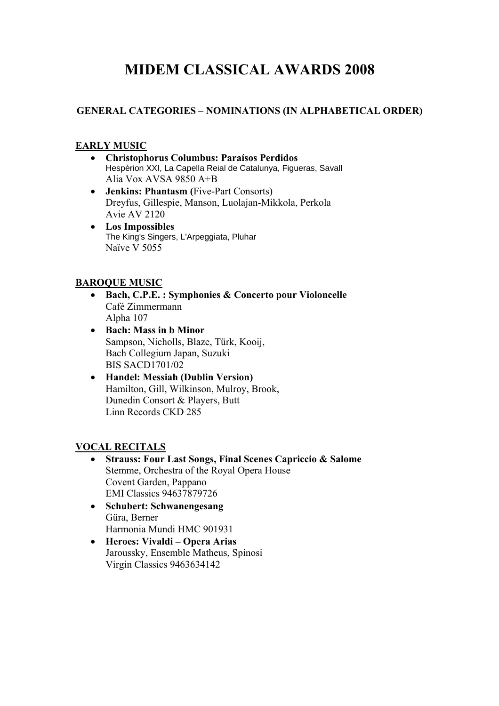# **MIDEM CLASSICAL AWARDS 2008**

## **GENERAL CATEGORIES – NOMINATIONS (IN ALPHABETICAL ORDER)**

#### **EARLY MUSIC**

- **Christophorus Columbus: Paraísos Perdidos**  Hespèrion XXI, La Capella Reial de Catalunya, Figueras, Savall Alia Vox AVSA 9850 A+B
- **Jenkins: Phantasm (**Five-Part Consorts) Dreyfus, Gillespie, Manson, Luolajan-Mikkola, Perkola Avie AV 2120
- **Los Impossibles**  The King's Singers, L'Arpeggiata, Pluhar Naïve V 5055

#### **BAROQUE MUSIC**

- **Bach, C.P.E. : Symphonies & Concerto pour Violoncelle**  Café Zimmermann Alpha 107
- **Bach: Mass in b Minor**  Sampson, Nicholls, Blaze, Türk, Kooij, Bach Collegium Japan, Suzuki BIS SACD1701/02
- **Handel: Messiah (Dublin Version)**  Hamilton, Gill, Wilkinson, Mulroy, Brook, Dunedin Consort & Players, Butt Linn Records CKD 285

## **VOCAL RECITALS**

- **Strauss: Four Last Songs, Final Scenes Capriccio & Salome**  Stemme, Orchestra of the Royal Opera House Covent Garden, Pappano EMI Classics 94637879726
- **Schubert: Schwanengesang**  Güra, Berner Harmonia Mundi HMC 901931
- **Heroes: Vivaldi Opera Arias**  Jaroussky, Ensemble Matheus, Spinosi Virgin Classics 9463634142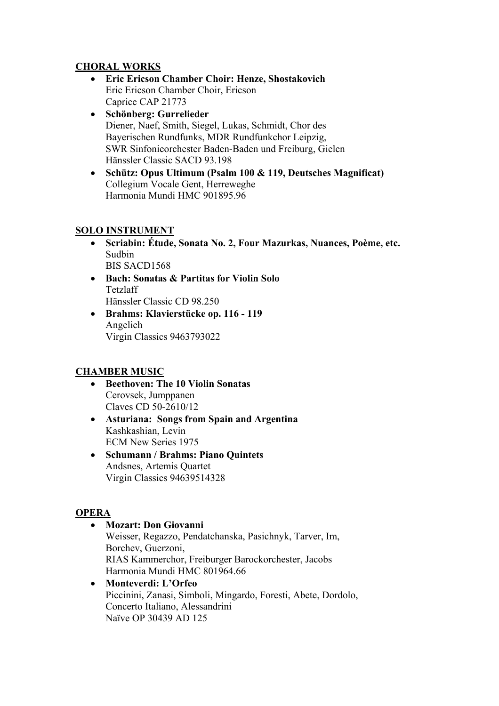## **CHORAL WORKS**

- **Eric Ericson Chamber Choir: Henze, Shostakovich**  Eric Ericson Chamber Choir, Ericson Caprice CAP 21773
- **Schönberg: Gurrelieder**  Diener, Naef, Smith, Siegel, Lukas, Schmidt, Chor des Bayerischen Rundfunks, MDR Rundfunkchor Leipzig, SWR Sinfonieorchester Baden-Baden und Freiburg, Gielen Hänssler Classic SACD 93.198
- **Schütz: Opus Ultimum (Psalm 100 & 119, Deutsches Magnificat)**  Collegium Vocale Gent, Herreweghe Harmonia Mundi HMC 901895.96

#### **SOLO INSTRUMENT**

- **Scriabin: Étude, Sonata No. 2, Four Mazurkas, Nuances, Poème, etc.**  Sudbin BIS SACD1568
- **Bach: Sonatas & Partitas for Violin Solo**  Tetzlaff Hänssler Classic CD 98.250
- **Brahms: Klavierstücke op. 116 119**  Angelich Virgin Classics 9463793022

## **CHAMBER MUSIC**

- **Beethoven: The 10 Violin Sonatas**  Cerovsek, Jumppanen Claves CD 50-2610/12
- **Asturiana: Songs from Spain and Argentina** Kashkashian, Levin ECM New Series 1975
- **Schumann / Brahms: Piano Quintets**  Andsnes, Artemis Quartet Virgin Classics 94639514328

## **OPERA**

- **Mozart: Don Giovanni**  Weisser, Regazzo, Pendatchanska, Pasichnyk, Tarver, Im, Borchev, Guerzoni, RIAS Kammerchor, Freiburger Barockorchester, Jacobs Harmonia Mundi HMC 801964.66 • **Monteverdi: L'Orfeo** 
	- Piccinini, Zanasi, Simboli, Mingardo, Foresti, Abete, Dordolo, Concerto Italiano, Alessandrini Naïve OP 30439 AD 125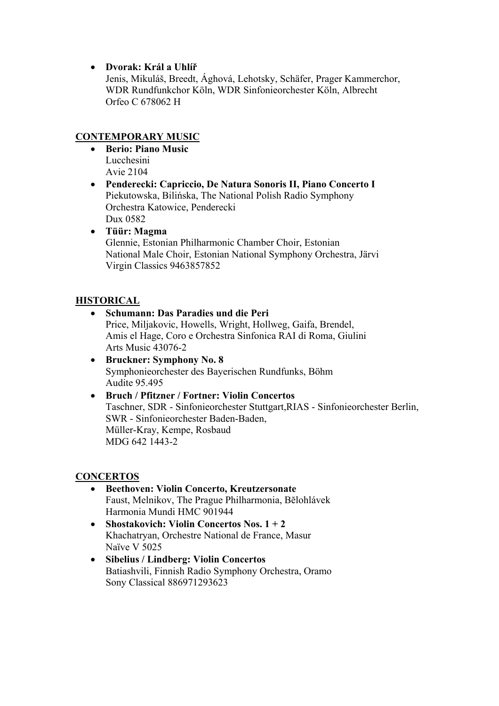• **Dvorak: Král a Uhlíř**

Jenis, Mikuláš, Breedt, Ághová, Lehotsky, Schäfer, Prager Kammerchor, WDR Rundfunkchor Köln, WDR Sinfonieorchester Köln, Albrecht Orfeo C 678062 H

# **CONTEMPORARY MUSIC**

- **Berio: Piano Music**  Lucchesini Avie 2104
- **Penderecki: Capriccio, De Natura Sonoris II, Piano Concerto I**  Piekutowska, Bilińska, The National Polish Radio Symphony Orchestra Katowice, Penderecki Dux 0582
- **Tüür: Magma**  Glennie, Estonian Philharmonic Chamber Choir, Estonian National Male Choir, Estonian National Symphony Orchestra, Järvi Virgin Classics 9463857852

## **HISTORICAL**

#### • **Schumann: Das Paradies und die Peri**

Price, Miljakovic, Howells, Wright, Hollweg, Gaifa, Brendel, Amis el Hage, Coro e Orchestra Sinfonica RAI di Roma, Giulini Arts Music 43076-2

- **Bruckner: Symphony No. 8**  Symphonieorchester des Bayerischen Rundfunks, Böhm Audite 95.495
- **Bruch / Pfitzner / Fortner: Violin Concertos**  Taschner, SDR - Sinfonieorchester Stuttgart,RIAS - Sinfonieorchester Berlin, SWR - Sinfonieorchester Baden-Baden, Müller-Kray, Kempe, Rosbaud MDG 642 1443-2

#### **CONCERTOS**

- **Beethoven: Violin Concerto, Kreutzersonate**  Faust, Melnikov, The Prague Philharmonia, Bĕlohlávek Harmonia Mundi HMC 901944
- **Shostakovich: Violin Concertos Nos. 1 + 2**  Khachatryan, Orchestre National de France, Masur Naïve V 5025
- **Sibelius / Lindberg: Violin Concertos**  Batiashvili, Finnish Radio Symphony Orchestra, Oramo Sony Classical 886971293623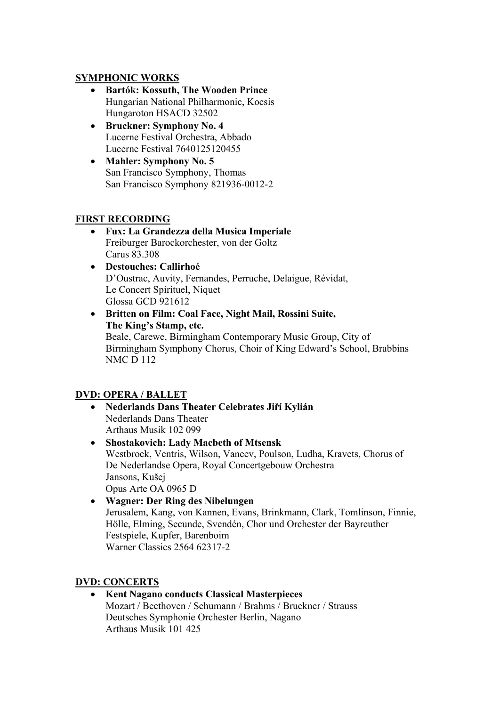#### **SYMPHONIC WORKS**

- **Bartók: Kossuth, The Wooden Prince**  Hungarian National Philharmonic, Kocsis Hungaroton HSACD 32502
- **Bruckner: Symphony No. 4**  Lucerne Festival Orchestra, Abbado Lucerne Festival 7640125120455
- **Mahler: Symphony No. 5**  San Francisco Symphony, Thomas San Francisco Symphony 821936-0012-2

#### **FIRST RECORDING**

- **Fux: La Grandezza della Musica Imperiale**  Freiburger Barockorchester, von der Goltz Carus 83.308
- **Destouches: Callirhoé**  D'Oustrac, Auvity, Fernandes, Perruche, Delaigue, Révidat, Le Concert Spirituel, Niquet Glossa GCD 921612
- **Britten on Film: Coal Face, Night Mail, Rossini Suite, The King's Stamp, etc.**  Beale, Carewe, Birmingham Contemporary Music Group, City of Birmingham Symphony Chorus, Choir of King Edward's School, Brabbins NMC D 112

## **DVD: OPERA / BALLET**

- **Nederlands Dans Theater Celebrates Jiří Kylián**  Nederlands Dans Theater Arthaus Musik 102 099
- **Shostakovich: Lady Macbeth of Mtsensk**  Westbroek, Ventris, Wilson, Vaneev, Poulson, Ludha, Kravets, Chorus of De Nederlandse Opera, Royal Concertgebouw Orchestra Jansons, Kušej Opus Arte OA 0965 D
- **Wagner: Der Ring des Nibelungen**  Jerusalem, Kang, von Kannen, Evans, Brinkmann, Clark, Tomlinson, Finnie, Hölle, Elming, Secunde, Svendén, Chor und Orchester der Bayreuther Festspiele, Kupfer, Barenboim Warner Classics 2564 62317-2

#### **DVD: CONCERTS**

• **Kent Nagano conducts Classical Masterpieces**  Mozart / Beethoven / Schumann / Brahms / Bruckner / Strauss Deutsches Symphonie Orchester Berlin, Nagano Arthaus Musik 101 425